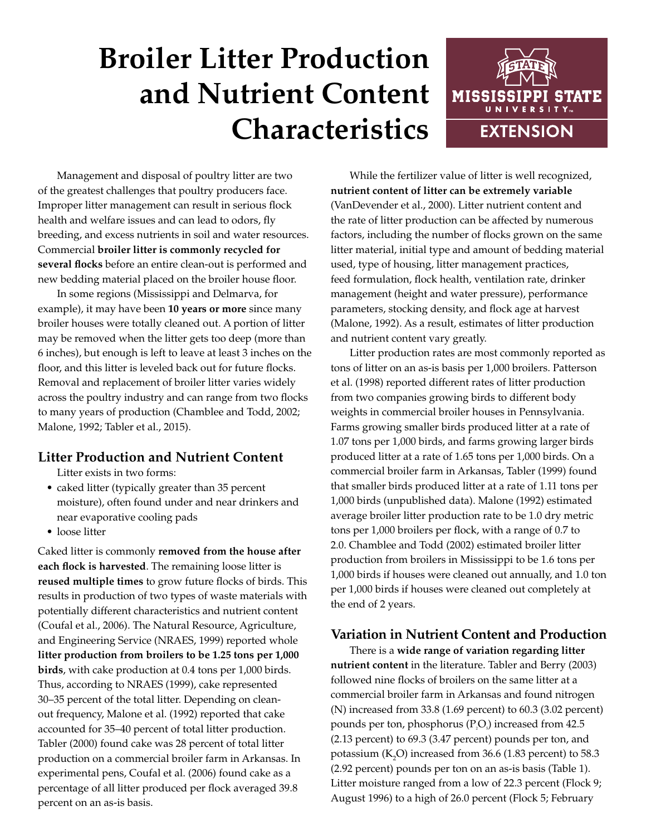# **Broiler Litter Production and Nutrient Content Characteristics**



Management and disposal of poultry litter are two of the greatest challenges that poultry producers face. Improper litter management can result in serious flock health and welfare issues and can lead to odors, fly breeding, and excess nutrients in soil and water resources. Commercial **broiler litter is commonly recycled for several flocks** before an entire clean-out is performed and new bedding material placed on the broiler house floor.

In some regions (Mississippi and Delmarva, for example), it may have been **10 years or more** since many broiler houses were totally cleaned out. A portion of litter may be removed when the litter gets too deep (more than 6 inches), but enough is left to leave at least 3 inches on the floor, and this litter is leveled back out for future flocks. Removal and replacement of broiler litter varies widely across the poultry industry and can range from two flocks to many years of production (Chamblee and Todd, 2002; Malone, 1992; Tabler et al., 2015).

## **Litter Production and Nutrient Content**

Litter exists in two forms:

- caked litter (typically greater than 35 percent moisture), often found under and near drinkers and near evaporative cooling pads
- loose litter

Caked litter is commonly **removed from the house after each flock is harvested**. The remaining loose litter is **reused multiple times** to grow future flocks of birds. This results in production of two types of waste materials with potentially different characteristics and nutrient content (Coufal et al., 2006). The Natural Resource, Agriculture, and Engineering Service (NRAES, 1999) reported whole **litter production from broilers to be 1.25 tons per 1,000 birds**, with cake production at 0.4 tons per 1,000 birds. Thus, according to NRAES (1999), cake represented 30–35 percent of the total litter. Depending on cleanout frequency, Malone et al. (1992) reported that cake accounted for 35–40 percent of total litter production. Tabler (2000) found cake was 28 percent of total litter production on a commercial broiler farm in Arkansas. In experimental pens, Coufal et al. (2006) found cake as a percentage of all litter produced per flock averaged 39.8 percent on an as-is basis.

While the fertilizer value of litter is well recognized, **nutrient content of litter can be extremely variable** (VanDevender et al., 2000). Litter nutrient content and the rate of litter production can be affected by numerous factors, including the number of flocks grown on the same litter material, initial type and amount of bedding material used, type of housing, litter management practices, feed formulation, flock health, ventilation rate, drinker management (height and water pressure), performance parameters, stocking density, and flock age at harvest (Malone, 1992). As a result, estimates of litter production and nutrient content vary greatly.

Litter production rates are most commonly reported as tons of litter on an as-is basis per 1,000 broilers. Patterson et al. (1998) reported different rates of litter production from two companies growing birds to different body weights in commercial broiler houses in Pennsylvania. Farms growing smaller birds produced litter at a rate of 1.07 tons per 1,000 birds, and farms growing larger birds produced litter at a rate of 1.65 tons per 1,000 birds. On a commercial broiler farm in Arkansas, Tabler (1999) found that smaller birds produced litter at a rate of 1.11 tons per 1,000 birds (unpublished data). Malone (1992) estimated average broiler litter production rate to be 1.0 dry metric tons per 1,000 broilers per flock, with a range of 0.7 to 2.0. Chamblee and Todd (2002) estimated broiler litter production from broilers in Mississippi to be 1.6 tons per 1,000 birds if houses were cleaned out annually, and 1.0 ton per 1,000 birds if houses were cleaned out completely at the end of 2 years.

# **Variation in Nutrient Content and Production**

There is a **wide range of variation regarding litter nutrient content** in the literature. Tabler and Berry (2003) followed nine flocks of broilers on the same litter at a commercial broiler farm in Arkansas and found nitrogen (N) increased from 33.8 (1.69 percent) to 60.3 (3.02 percent) pounds per ton, phosphorus ( $PQ$ <sub>s</sub>) increased from 42.5 (2.13 percent) to 69.3 (3.47 percent) pounds per ton, and potassium ( $K_2$ O) increased from 36.6 (1.83 percent) to 58.3 (2.92 percent) pounds per ton on an as-is basis (Table 1). Litter moisture ranged from a low of 22.3 percent (Flock 9; August 1996) to a high of 26.0 percent (Flock 5; February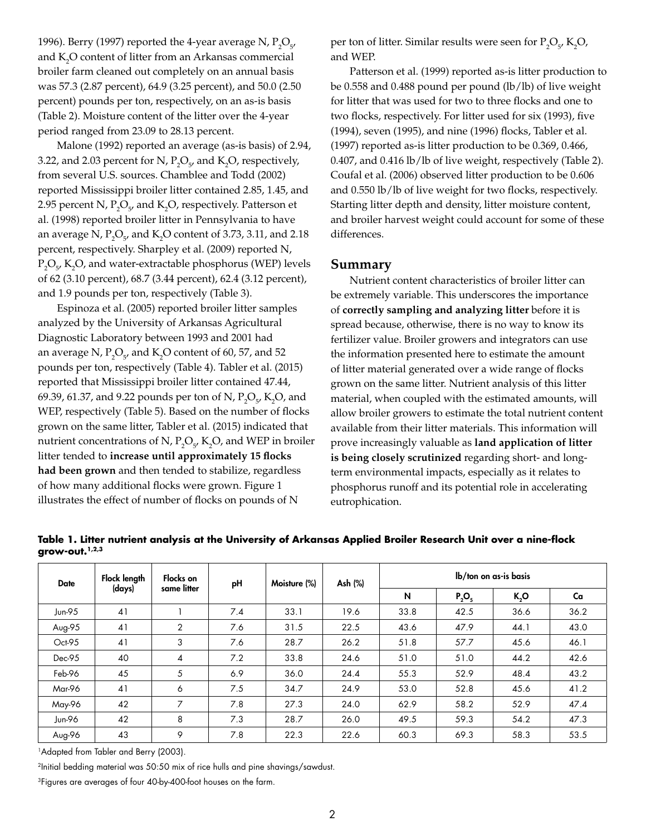1996). Berry (1997) reported the 4-year average N,  $P_2O_{5'}$ and  $K_2O$  content of litter from an Arkansas commercial broiler farm cleaned out completely on an annual basis was 57.3 (2.87 percent), 64.9 (3.25 percent), and 50.0 (2.50 percent) pounds per ton, respectively, on an as-is basis (Table 2). Moisture content of the litter over the 4-year period ranged from 23.09 to 28.13 percent.

Malone (1992) reported an average (as-is basis) of 2.94, 3.22, and 2.03 percent for N,  $P_2O_{5}$  and K<sub>2</sub>O, respectively, from several U.S. sources. Chamblee and Todd (2002) reported Mississippi broiler litter contained 2.85, 1.45, and 2.95 percent N,  $P_2O_5$ , and K<sub>2</sub>O, respectively. Patterson et al. (1998) reported broiler litter in Pennsylvania to have an average N,  $P_2O_5$ , and K<sub>2</sub>O content of 3.73, 3.11, and 2.18 percent, respectively. Sharpley et al. (2009) reported N,  $P_2O_{5}$ , K<sub>2</sub>O, and water-extractable phosphorus (WEP) levels of 62 (3.10 percent), 68.7 (3.44 percent), 62.4 (3.12 percent), and 1.9 pounds per ton, respectively (Table 3).

Espinoza et al. (2005) reported broiler litter samples analyzed by the University of Arkansas Agricultural Diagnostic Laboratory between 1993 and 2001 had an average N,  $P_2O_{5}$ , and  $K_2O$  content of 60, 57, and 52 pounds per ton, respectively (Table 4). Tabler et al. (2015) reported that Mississippi broiler litter contained 47.44, 69.39, 61.37, and 9.22 pounds per ton of N,  $P_2O_{5}$ , K<sub>2</sub>O, and WEP, respectively (Table 5). Based on the number of flocks grown on the same litter, Tabler et al. (2015) indicated that nutrient concentrations of N,  $P_2O_{5}$ , K<sub>2</sub>O, and WEP in broiler litter tended to **increase until approximately 15 flocks had been grown** and then tended to stabilize, regardless of how many additional flocks were grown. Figure 1 illustrates the effect of number of flocks on pounds of N

per ton of litter. Similar results were seen for  $P_2O_5$ ,  $K_2O$ , and WEP.

Patterson et al. (1999) reported as-is litter production to be 0.558 and 0.488 pound per pound (lb/lb) of live weight for litter that was used for two to three flocks and one to two flocks, respectively. For litter used for six (1993), five (1994), seven (1995), and nine (1996) flocks, Tabler et al. (1997) reported as-is litter production to be 0.369, 0.466, 0.407, and 0.416 lb/lb of live weight, respectively (Table 2). Coufal et al. (2006) observed litter production to be 0.606 and 0.550 lb/lb of live weight for two flocks, respectively. Starting litter depth and density, litter moisture content, and broiler harvest weight could account for some of these differences.

### **Summary**

Nutrient content characteristics of broiler litter can be extremely variable. This underscores the importance of **correctly sampling and analyzing litter** before it is spread because, otherwise, there is no way to know its fertilizer value. Broiler growers and integrators can use the information presented here to estimate the amount of litter material generated over a wide range of flocks grown on the same litter. Nutrient analysis of this litter material, when coupled with the estimated amounts, will allow broiler growers to estimate the total nutrient content available from their litter materials. This information will prove increasingly valuable as **land application of litter is being closely scrutinized** regarding short- and longterm environmental impacts, especially as it relates to phosphorus runoff and its potential role in accelerating eutrophication.

| <b>Date</b> | Flock length<br>(days) | Flocks on<br>same litter | pH  | Moisture (%) | Ash (%) | lb/ton on as-is basis |          |      |      |
|-------------|------------------------|--------------------------|-----|--------------|---------|-----------------------|----------|------|------|
|             |                        |                          |     |              |         | N                     | $P_2O_5$ | K,O  | Ca   |
| Jun-95      | 41                     |                          | 7.4 | 33.1         | 19.6    | 33.8                  | 42.5     | 36.6 | 36.2 |
| Aug-95      | 41                     | 2                        | 7.6 | 31.5         | 22.5    | 43.6                  | 47.9     | 44.1 | 43.0 |
| Oct-95      | 41                     | 3                        | 7.6 | 28.7         | 26.2    | 51.8                  | 57.7     | 45.6 | 46.1 |
| $Dec-95$    | 40                     | 4                        | 7.2 | 33.8         | 24.6    | 51.0                  | 51.0     | 44.2 | 42.6 |
| Feb-96      | 45                     | 5                        | 6.9 | 36.0         | 24.4    | 55.3                  | 52.9     | 48.4 | 43.2 |
| Mar-96      | 41                     | 6                        | 7.5 | 34.7         | 24.9    | 53.0                  | 52.8     | 45.6 | 41.2 |
| May-96      | 42                     | 7                        | 7.8 | 27.3         | 24.0    | 62.9                  | 58.2     | 52.9 | 47.4 |
| Jun-96      | 42                     | 8                        | 7.3 | 28.7         | 26.0    | 49.5                  | 59.3     | 54.2 | 47.3 |
| Aug-96      | 43                     | 9                        | 7.8 | 22.3         | 22.6    | 60.3                  | 69.3     | 58.3 | 53.5 |

**Table 1. Litter nutrient analysis at the University of Arkansas Applied Broiler Research Unit over a nine-flock grow-out.1,2,3**

<sup>1</sup>Adapted from Tabler and Berry (2003).

2Initial bedding material was 50:50 mix of rice hulls and pine shavings/sawdust.

<sup>3</sup>Figures are averages of four 40-by-400-foot houses on the farm.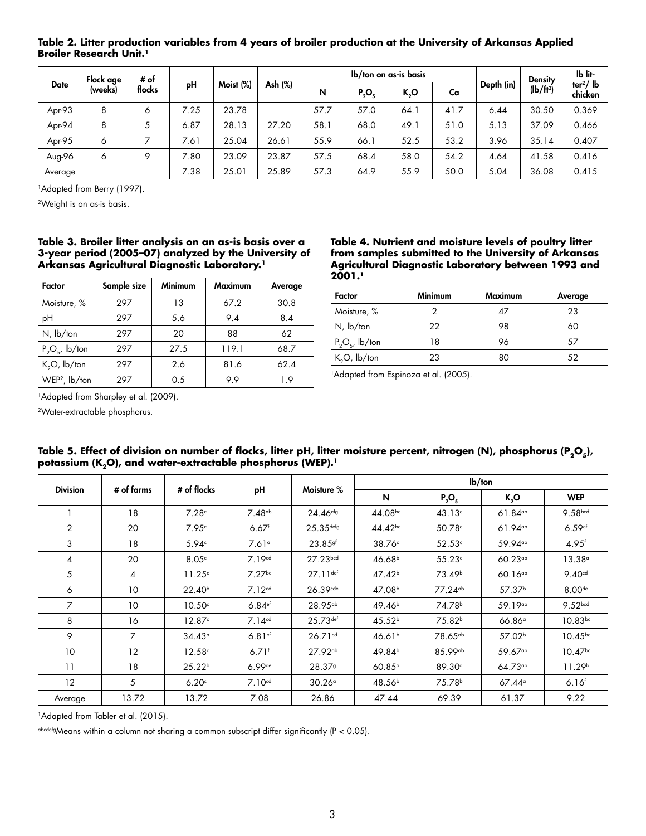| <b>Date</b> | Flock age<br>(weeks) | # of<br>flocks | pH   | Moist (%) | Ash (%) | lb/ton on as-is basis |          |      |      |            | <b>Density</b> | Ib lit-               |
|-------------|----------------------|----------------|------|-----------|---------|-----------------------|----------|------|------|------------|----------------|-----------------------|
|             |                      |                |      |           |         | N                     | $P_2O_5$ | K,O  | Ca   | Depth (in) | $(lb/ft^3)$    | $ter2/$ lb<br>chicken |
| Apr-93      | 8                    | 6              | 7.25 | 23.78     |         | 57.7                  | 57.0     | 64.  | 41.7 | 6.44       | 30.50          | 0.369                 |
| Apr-94      | 8                    | 5              | 6.87 | 28.13     | 27.20   | 58.1                  | 68.0     | 49.1 | 51.0 | 5.13       | 37.09          | 0.466                 |
| Apr-95      | Ó                    |                | 7.61 | 25.04     | 26.61   | 55.9                  | 66.1     | 52.5 | 53.2 | 3.96       | 35.14          | 0.407                 |
| Aug-96      | 6                    | Q              | 7.80 | 23.09     | 23.87   | 57.5                  | 68.4     | 58.0 | 54.2 | 4.64       | 41.58          | 0.416                 |
| Average     |                      |                | 7.38 | 25.01     | 25.89   | 57.3                  | 64.9     | 55.9 | 50.0 | 5.04       | 36.08          | 0.415                 |

**Table 2. Litter production variables from 4 years of broiler production at the University of Arkansas Applied Broiler Research Unit.<sup>1</sup>** 

<sup>1</sup>Adapted from Berry (1997).

2Weight is on as-is basis.

#### **Table 3. Broiler litter analysis on an as-is basis over a 3-year period (2005–07) analyzed by the University of Arkansas Agricultural Diagnostic Laboratory.1**

| Factor                    | Sample size | <b>Minimum</b> | <b>Maximum</b> | Average |  |
|---------------------------|-------------|----------------|----------------|---------|--|
| Moisture, %               | 297         | 13             | 67.2           | 30.8    |  |
| pH                        | 297         | 5.6            | 9.4            | 8.4     |  |
| $N$ , $lb$ /ton           | 297         | 20             | 88             | 62      |  |
| $P_2O_5$ , lb/ton         | 297         | 27.5           | 119.1          | 68.7    |  |
| $K_2O$ , $lb$ /ton        | 297         | 2.6            | 81.6           | 62.4    |  |
| WEP <sup>2</sup> , lb/ton | 297         | 0.5            | 99             | 19      |  |

**Table 4. Nutrient and moisture levels of poultry litter from samples submitted to the University of Arkansas Agricultural Diagnostic Laboratory between 1993 and 2001.1**

| Factor             | <b>Minimum</b> | <b>Maximum</b> | Average |  |  |
|--------------------|----------------|----------------|---------|--|--|
| Moisture, %        |                | 47             | 23      |  |  |
| $N$ , $lb$ /ton    | 22             | 98             | 60      |  |  |
| $P_2O_5$ , lb/ton  | 18             | 96             | 57      |  |  |
| $K_2O$ , $lb$ /ton | 23             | 80             | 52      |  |  |

<sup>1</sup>Adapted from Espinoza et al. (2005).

<sup>1</sup>Adapted from Sharpley et al. (2009).

2Water-extractable phosphorus.

| <b>Division</b> | # of farms     | # of flocks        | pH                   | Moisture %              | $Ib/\text{ton}$    |                       |                       |                       |  |
|-----------------|----------------|--------------------|----------------------|-------------------------|--------------------|-----------------------|-----------------------|-----------------------|--|
|                 |                |                    |                      |                         | N                  | $P_2O_5$              | K,O                   | <b>WEP</b>            |  |
|                 | 18             | 7.28c              | 7.48 <sup>ab</sup>   | $24.46e^{f_9}$          | $44.08^{bc}$       | 43.13 <sup>c</sup>    | $61.84$ <sup>ab</sup> | 9.58bcd               |  |
| 2               | 20             | 7.95c              | $6.67$ <sup>f</sup>  | $25.35$ <sup>defg</sup> | $44.42^{bc}$       | 50.78c                | $61.94$ <sup>ab</sup> | $6.59$ <sup>ef</sup>  |  |
| 3               | 18             | $5.94^\circ$       | 7.61 <sup>°</sup>    | 23.85sf                 | 38.76°             | 52.53c                | 59.94 <sup>ab</sup>   | $4.95$ <sup>f</sup>   |  |
| $\overline{4}$  | 20             | 8.05c              | 7.19 <sup>cd</sup>   | 27.23 <sub>bcd</sub>    | 46.68 <sup>b</sup> | 55.23c                | $60.23^{ab}$          | 13.38°                |  |
| 5               | 4              | 11.25c             | $7.27$ bc            | $27.11$ def             | 47.42 <sup>b</sup> | 73.49 <sup>b</sup>    | $60.16^{ab}$          | 9.40 <sup>cd</sup>    |  |
| 6               | 10             | 22.40 <sup>b</sup> | 7.12 <sup>cd</sup>   | 26.39cde                | 47.08 <sup>b</sup> | $77.24$ <sup>ab</sup> | 57.37 <sup>b</sup>    | 8.00 <sup>de</sup>    |  |
| $\overline{7}$  | 10             | 10.50 <sup>c</sup> | $6.84$ <sup>ef</sup> | 28.95 <sup>ab</sup>     | 49.46 <sup>b</sup> | 74.78 <sup>b</sup>    | $59.19^{ab}$          | 9.52 <sub>bcd</sub>   |  |
| 8               | 16             | 12.87c             | 7.14 <sup>cd</sup>   | $25.73$ def             | 45.52 <sup>b</sup> | 75.82 <sup>b</sup>    | $66.86^\circ$         | $10.83^{bc}$          |  |
| 9               | $\overline{7}$ | 34.43°             | $6.81$ <sup>ef</sup> | 26.71 <sup>cd</sup>     | 46.61 <sup>b</sup> | 78.65 <sup>ab</sup>   | 57.02 <sup>b</sup>    | $10.45^{bc}$          |  |
| 10              | 12             | 12.58c             | $6.71$ <sup>f</sup>  | $27.92^{ab}$            | 49.84 <sup>b</sup> | 85.99 <sup>ab</sup>   | 59.67 <sup>ab</sup>   | $10.47$ <sup>bc</sup> |  |
| 11              | 18             | 25.22 <sup>b</sup> | $6.99$ de            | 28.379                  | $60.85^\circ$      | 89.30°                | $64.73^{ab}$          | 11.29 <sup>b</sup>    |  |
| 12              | 5              | 6.20c              | 7.10 <sup>cd</sup>   | $30.26^\circ$           | 48.56 <sup>b</sup> | 75.78 <sup>b</sup>    | $67.44^\circ$         | 6.16 <sup>f</sup>     |  |
| Average         | 13.72          | 13.72              | 7.08                 | 26.86                   | 47.44              | 69.39                 | 61.37                 | 9.22                  |  |

Table 5. Effect of division on number of flocks, litter pH, litter moisture percent, nitrogen (N), phosphorus (P<sub>2</sub>O<sub>5</sub>), potassium (K<sub>2</sub>O), and water-extractable phosphorus (WEP).<sup>1</sup>

<sup>1</sup>Adapted from Tabler et al. (2015).

abcdefgMeans within a column not sharing a common subscript differ significantly (P < 0.05).